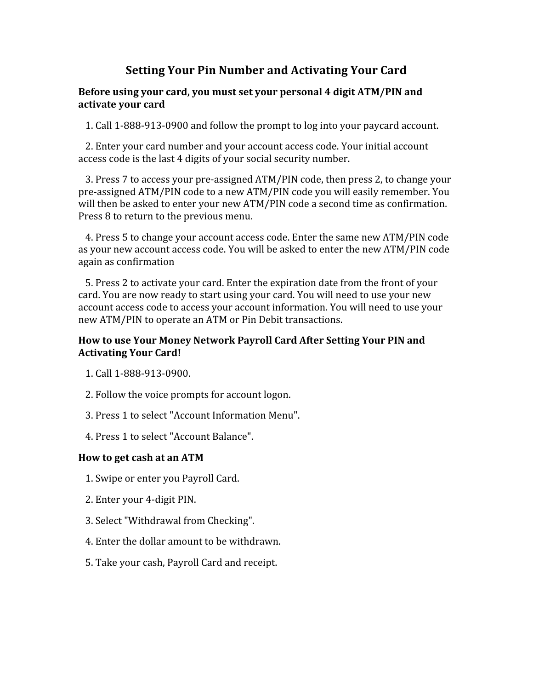# **Setting Your Pin Number and Activating Your Card**

#### **Before using your card, you must set your personal 4 digit ATM/PIN and activate your card**

1. Call 1‐888‐913‐0900 and follow the prompt to log into your paycard account.

 2. Enter your card number and your account access code. Your initial account access code is the last 4 digits of your social security number.

 3. Press 7 to access your pre‐assigned ATM/PIN code, then press 2, to change your pre‐assigned ATM/PIN code to a new ATM/PIN code you will easily remember. You will then be asked to enter your new ATM/PIN code a second time as confirmation. Press 8 to return to the previous menu.

 4. Press 5 to change your account access code. Enter the same new ATM/PIN code as your new account access code. You will be asked to enter the new ATM/PIN code again as confirmation

 5. Press 2 to activate your card. Enter the expiration date from the front of your card. You are now ready to start using your card. You will need to use your new account access code to access your account information. You will need to use your new ATM/PIN to operate an ATM or Pin Debit transactions.

#### **How to use Your Money Network Payroll Card After Setting Your PIN and Activating Your Card!**

- 1. Call 1‐888‐913‐0900.
- 2. Follow the voice prompts for account logon.
- 3. Press 1 to select "Account Information Menu".
- 4. Press 1 to select "Account Balance".

#### **How to get cash at an ATM**

- 1. Swipe or enter you Payroll Card.
- 2. Enter your 4‐digit PIN.
- 3. Select "Withdrawal from Checking".
- 4. Enter the dollar amount to be withdrawn.
- 5. Take your cash, Payroll Card and receipt.